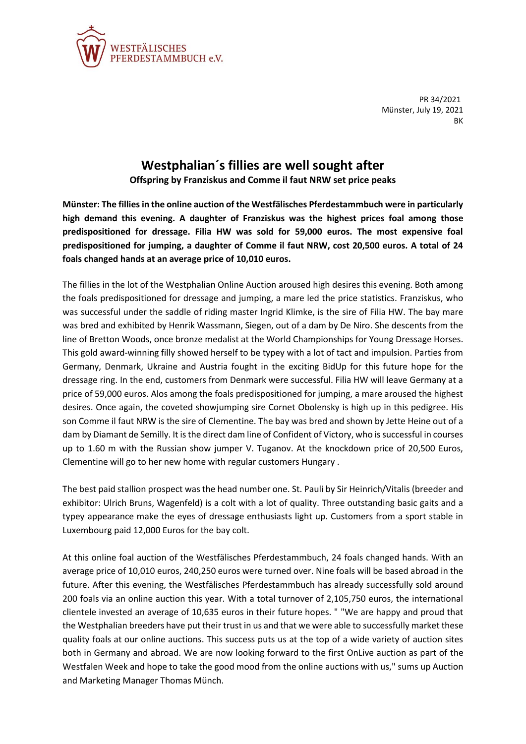

PR 34/2021 Münster, July 19, 2021 **BK** 

## **Westphalian´s fillies are well sought after**

**Offspring by Franziskus and Comme il faut NRW set price peaks**

**Münster: The fillies in the online auction of the Westfälisches Pferdestammbuch were in particularly high demand this evening. A daughter of Franziskus was the highest prices foal among those predispositioned for dressage. Filia HW was sold for 59,000 euros. The most expensive foal predispositioned for jumping, a daughter of Comme il faut NRW, cost 20,500 euros. A total of 24 foals changed hands at an average price of 10,010 euros.**

The fillies in the lot of the Westphalian Online Auction aroused high desires this evening. Both among the foals predispositioned for dressage and jumping, a mare led the price statistics. Franziskus, who was successful under the saddle of riding master Ingrid Klimke, is the sire of Filia HW. The bay mare was bred and exhibited by Henrik Wassmann, Siegen, out of a dam by De Niro. She descents from the line of Bretton Woods, once bronze medalist at the World Championships for Young Dressage Horses. This gold award-winning filly showed herself to be typey with a lot of tact and impulsion. Parties from Germany, Denmark, Ukraine and Austria fought in the exciting BidUp for this future hope for the dressage ring. In the end, customers from Denmark were successful. Filia HW will leave Germany at a price of 59,000 euros. Alos among the foals predispositioned for jumping, a mare aroused the highest desires. Once again, the coveted showjumping sire Cornet Obolensky is high up in this pedigree. His son Comme il faut NRW is the sire of Clementine. The bay was bred and shown by Jette Heine out of a dam by Diamant de Semilly. It is the direct dam line of Confident of Victory, who is successful in courses up to 1.60 m with the Russian show jumper V. Tuganov. At the knockdown price of 20,500 Euros, Clementine will go to her new home with regular customers Hungary .

The best paid stallion prospect was the head number one. St. Pauli by Sir Heinrich/Vitalis (breeder and exhibitor: Ulrich Bruns, Wagenfeld) is a colt with a lot of quality. Three outstanding basic gaits and a typey appearance make the eyes of dressage enthusiasts light up. Customers from a sport stable in Luxembourg paid 12,000 Euros for the bay colt.

At this online foal auction of the Westfälisches Pferdestammbuch, 24 foals changed hands. With an average price of 10,010 euros, 240,250 euros were turned over. Nine foals will be based abroad in the future. After this evening, the Westfälisches Pferdestammbuch has already successfully sold around 200 foals via an online auction this year. With a total turnover of 2,105,750 euros, the international clientele invested an average of 10,635 euros in their future hopes. " "We are happy and proud that the Westphalian breeders have put their trust in us and that we were able to successfully market these quality foals at our online auctions. This success puts us at the top of a wide variety of auction sites both in Germany and abroad. We are now looking forward to the first OnLive auction as part of the Westfalen Week and hope to take the good mood from the online auctions with us," sums up Auction and Marketing Manager Thomas Münch.